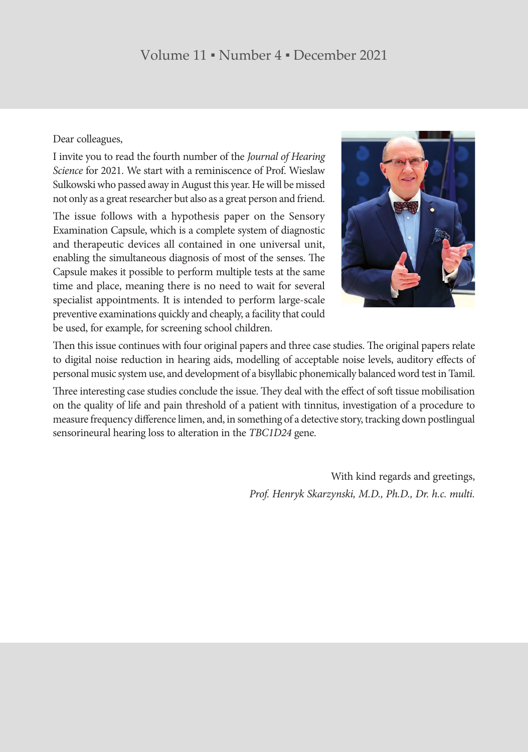## Volume 11 ▪ Number 4 ▪ December 2021

## Dear colleagues,

I invite you to read the fourth number of the *Journal of Hearing Science* for 2021. We start with a reminiscence of Prof. Wieslaw Sulkowski who passed away in August this year. He will be missed not only as a great researcher but also as a great person and friend.

The issue follows with a hypothesis paper on the Sensory Examination Capsule, which is a complete system of diagnostic and therapeutic devices all contained in one universal unit, enabling the simultaneous diagnosis of most of the senses. The Capsule makes it possible to perform multiple tests at the same time and place, meaning there is no need to wait for several specialist appointments. It is intended to perform large-scale preventive examinations quickly and cheaply, a facility that could be used, for example, for screening school children.



Then this issue continues with four original papers and three case studies. The original papers relate to digital noise reduction in hearing aids, modelling of acceptable noise levels, auditory effects of personal music system use, and development of a bisyllabic phonemically balanced word test in Tamil.

Three interesting case studies conclude the issue. They deal with the effect of soft tissue mobilisation on the quality of life and pain threshold of a patient with tinnitus, investigation of a procedure to measure frequency difference limen, and, in something of a detective story, tracking down postlingual sensorineural hearing loss to alteration in the *TBC1D24* gene.

> With kind regards and greetings, *Prof. Henryk Skarzynski, M.D., Ph.D., Dr. h.c. multi.*